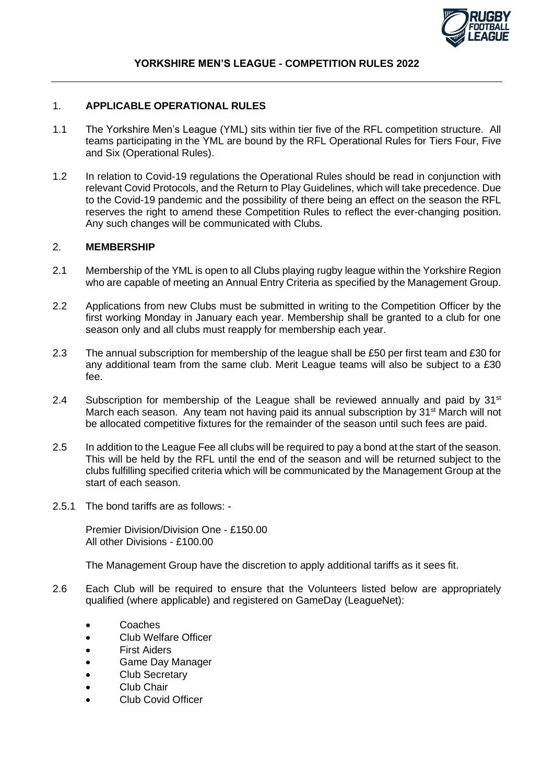

### 1. **APPLICABLE OPERATIONAL RULES**

- 1.1 The Yorkshire Men's League (YML) sits within tier five of the RFL competition structure. All teams participating in the YML are bound by the RFL Operational Rules for Tiers Four, Five and Six (Operational Rules).
- 1.2 In relation to Covid-19 regulations the Operational Rules should be read in conjunction with relevant Covid Protocols, and the Return to Play Guidelines, which will take precedence. Due to the Covid-19 pandemic and the possibility of there being an effect on the season the RFL reserves the right to amend these Competition Rules to reflect the ever-changing position. Any such changes will be communicated with Clubs.

### 2. **MEMBERSHIP**

- 2.1 Membership of the YML is open to all Clubs playing rugby league within the Yorkshire Region who are capable of meeting an Annual Entry Criteria as specified by the Management Group.
- 2.2 Applications from new Clubs must be submitted in writing to the Competition Officer by the first working Monday in January each year. Membership shall be granted to a club for one season only and all clubs must reapply for membership each year.
- 2.3 The annual subscription for membership of the league shall be £50 per first team and £30 for any additional team from the same club. Merit League teams will also be subject to a £30 fee.
- 2.4 Subscription for membership of the League shall be reviewed annually and paid by  $31<sup>st</sup>$ March each season. Any team not having paid its annual subscription by 31<sup>st</sup> March will not be allocated competitive fixtures for the remainder of the season until such fees are paid.
- 2.5 In addition to the League Fee all clubs will be required to pay a bond at the start of the season. This will be held by the RFL until the end of the season and will be returned subject to the clubs fulfilling specified criteria which will be communicated by the Management Group at the start of each season.
- 2.5.1 The bond tariffs are as follows: -

Premier Division/Division One - £150.00 All other Divisions - £100.00

The Management Group have the discretion to apply additional tariffs as it sees fit.

- 2.6 Each Club will be required to ensure that the Volunteers listed below are appropriately qualified (where applicable) and registered on GameDay (LeagueNet):
	- Coaches
	- Club Welfare Officer
	- **First Aiders**
	- Game Day Manager
	- Club Secretary
	- Club Chair
	- Club Covid Officer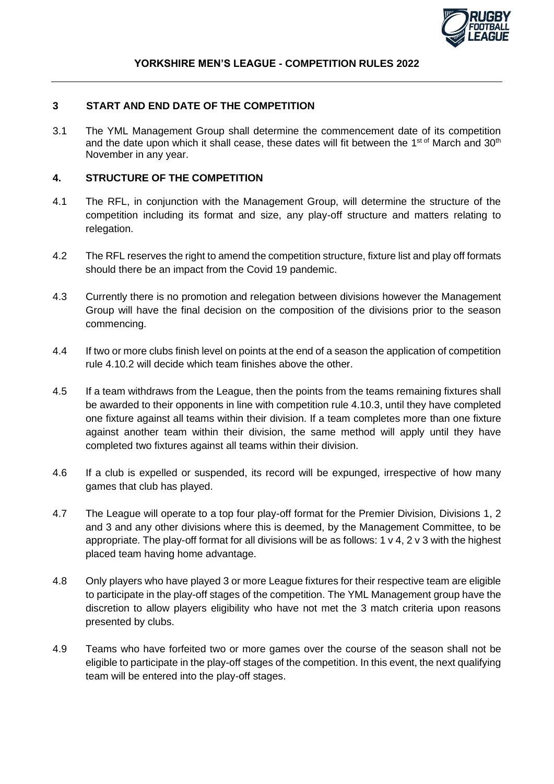

## **3 START AND END DATE OF THE COMPETITION**

3.1 The YML Management Group shall determine the commencement date of its competition and the date upon which it shall cease, these dates will fit between the 1<sup>st of</sup> March and 30<sup>th</sup> November in any year.

### **4. STRUCTURE OF THE COMPETITION**

- 4.1 The RFL, in conjunction with the Management Group, will determine the structure of the competition including its format and size, any play-off structure and matters relating to relegation.
- 4.2 The RFL reserves the right to amend the competition structure, fixture list and play off formats should there be an impact from the Covid 19 pandemic.
- 4.3 Currently there is no promotion and relegation between divisions however the Management Group will have the final decision on the composition of the divisions prior to the season commencing.
- 4.4 If two or more clubs finish level on points at the end of a season the application of competition rule 4.10.2 will decide which team finishes above the other.
- 4.5 If a team withdraws from the League, then the points from the teams remaining fixtures shall be awarded to their opponents in line with competition rule 4.10.3, until they have completed one fixture against all teams within their division. If a team completes more than one fixture against another team within their division, the same method will apply until they have completed two fixtures against all teams within their division.
- 4.6 If a club is expelled or suspended, its record will be expunged, irrespective of how many games that club has played.
- 4.7 The League will operate to a top four play-off format for the Premier Division, Divisions 1, 2 and 3 and any other divisions where this is deemed, by the Management Committee, to be appropriate. The play-off format for all divisions will be as follows: 1 v 4, 2 v 3 with the highest placed team having home advantage.
- 4.8 Only players who have played 3 or more League fixtures for their respective team are eligible to participate in the play-off stages of the competition. The YML Management group have the discretion to allow players eligibility who have not met the 3 match criteria upon reasons presented by clubs.
- 4.9 Teams who have forfeited two or more games over the course of the season shall not be eligible to participate in the play-off stages of the competition. In this event, the next qualifying team will be entered into the play-off stages.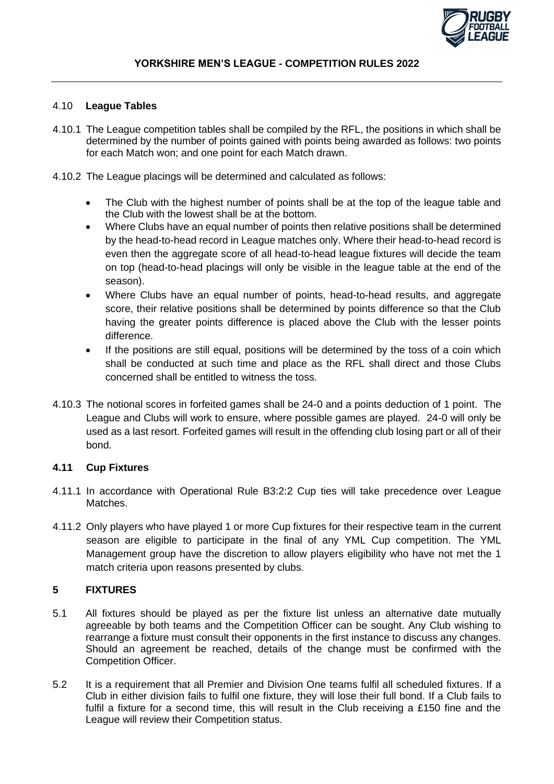

### 4.10 **League Tables**

- 4.10.1 The League competition tables shall be compiled by the RFL, the positions in which shall be determined by the number of points gained with points being awarded as follows: two points for each Match won; and one point for each Match drawn.
- 4.10.2 The League placings will be determined and calculated as follows:
	- The Club with the highest number of points shall be at the top of the league table and the Club with the lowest shall be at the bottom.
	- Where Clubs have an equal number of points then relative positions shall be determined by the head-to-head record in League matches only. Where their head-to-head record is even then the aggregate score of all head-to-head league fixtures will decide the team on top (head-to-head placings will only be visible in the league table at the end of the season).
	- Where Clubs have an equal number of points, head-to-head results, and aggregate score, their relative positions shall be determined by points difference so that the Club having the greater points difference is placed above the Club with the lesser points difference.
	- If the positions are still equal, positions will be determined by the toss of a coin which shall be conducted at such time and place as the RFL shall direct and those Clubs concerned shall be entitled to witness the toss.
- 4.10.3 The notional scores in forfeited games shall be 24-0 and a points deduction of 1 point. The League and Clubs will work to ensure, where possible games are played. 24-0 will only be used as a last resort. Forfeited games will result in the offending club losing part or all of their bond.

## **4.11 Cup Fixtures**

- 4.11.1 In accordance with Operational Rule B3:2:2 Cup ties will take precedence over League Matches.
- 4.11.2 Only players who have played 1 or more Cup fixtures for their respective team in the current season are eligible to participate in the final of any YML Cup competition. The YML Management group have the discretion to allow players eligibility who have not met the 1 match criteria upon reasons presented by clubs.

## **5 FIXTURES**

- 5.1 All fixtures should be played as per the fixture list unless an alternative date mutually agreeable by both teams and the Competition Officer can be sought. Any Club wishing to rearrange a fixture must consult their opponents in the first instance to discuss any changes. Should an agreement be reached, details of the change must be confirmed with the Competition Officer.
- 5.2 It is a requirement that all Premier and Division One teams fulfil all scheduled fixtures. If a Club in either division fails to fulfil one fixture, they will lose their full bond. If a Club fails to fulfil a fixture for a second time, this will result in the Club receiving a £150 fine and the League will review their Competition status.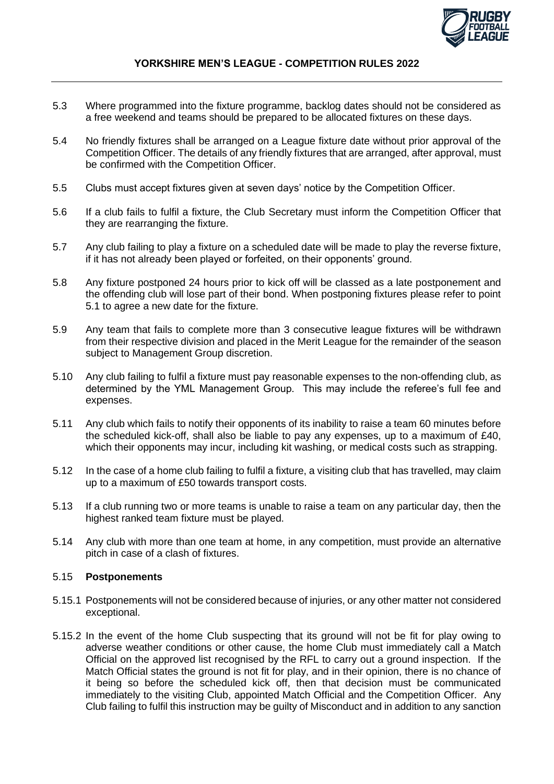

- 5.3 Where programmed into the fixture programme, backlog dates should not be considered as a free weekend and teams should be prepared to be allocated fixtures on these days.
- 5.4 No friendly fixtures shall be arranged on a League fixture date without prior approval of the Competition Officer. The details of any friendly fixtures that are arranged, after approval, must be confirmed with the Competition Officer.
- 5.5 Clubs must accept fixtures given at seven days' notice by the Competition Officer.
- 5.6 If a club fails to fulfil a fixture, the Club Secretary must inform the Competition Officer that they are rearranging the fixture.
- 5.7 Any club failing to play a fixture on a scheduled date will be made to play the reverse fixture, if it has not already been played or forfeited, on their opponents' ground.
- 5.8 Any fixture postponed 24 hours prior to kick off will be classed as a late postponement and the offending club will lose part of their bond. When postponing fixtures please refer to point 5.1 to agree a new date for the fixture.
- 5.9 Any team that fails to complete more than 3 consecutive league fixtures will be withdrawn from their respective division and placed in the Merit League for the remainder of the season subject to Management Group discretion.
- 5.10 Any club failing to fulfil a fixture must pay reasonable expenses to the non-offending club, as determined by the YML Management Group. This may include the referee's full fee and expenses.
- 5.11 Any club which fails to notify their opponents of its inability to raise a team 60 minutes before the scheduled kick-off, shall also be liable to pay any expenses, up to a maximum of £40, which their opponents may incur, including kit washing, or medical costs such as strapping.
- 5.12 In the case of a home club failing to fulfil a fixture, a visiting club that has travelled, may claim up to a maximum of £50 towards transport costs.
- 5.13 If a club running two or more teams is unable to raise a team on any particular day, then the highest ranked team fixture must be played.
- 5.14 Any club with more than one team at home, in any competition, must provide an alternative pitch in case of a clash of fixtures.

#### 5.15 **Postponements**

- 5.15.1 Postponements will not be considered because of injuries, or any other matter not considered exceptional.
- 5.15.2 In the event of the home Club suspecting that its ground will not be fit for play owing to adverse weather conditions or other cause, the home Club must immediately call a Match Official on the approved list recognised by the RFL to carry out a ground inspection. If the Match Official states the ground is not fit for play, and in their opinion, there is no chance of it being so before the scheduled kick off, then that decision must be communicated immediately to the visiting Club, appointed Match Official and the Competition Officer. Any Club failing to fulfil this instruction may be guilty of Misconduct and in addition to any sanction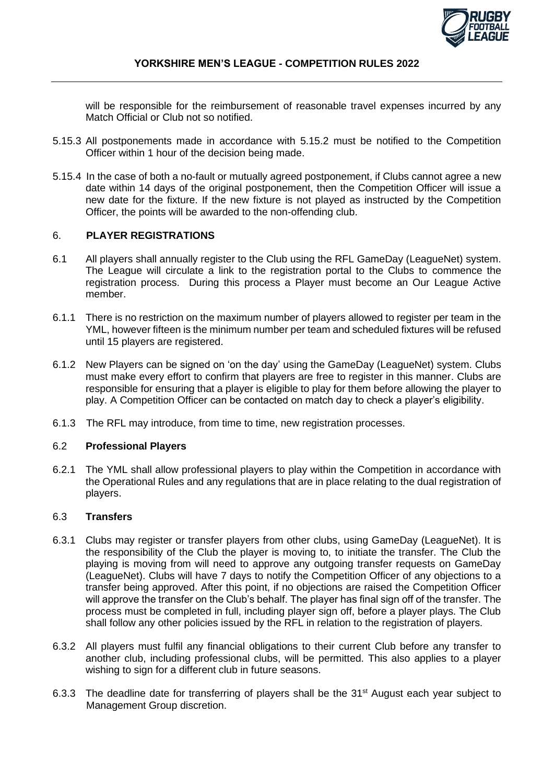

will be responsible for the reimbursement of reasonable travel expenses incurred by any Match Official or Club not so notified.

- 5.15.3 All postponements made in accordance with 5.15.2 must be notified to the Competition Officer within 1 hour of the decision being made.
- 5.15.4 In the case of both a no-fault or mutually agreed postponement, if Clubs cannot agree a new date within 14 days of the original postponement, then the Competition Officer will issue a new date for the fixture. If the new fixture is not played as instructed by the Competition Officer, the points will be awarded to the non-offending club.

# 6. **PLAYER REGISTRATIONS**

- 6.1 All players shall annually register to the Club using the RFL GameDay (LeagueNet) system. The League will circulate a link to the registration portal to the Clubs to commence the registration process. During this process a Player must become an Our League Active member.
- 6.1.1 There is no restriction on the maximum number of players allowed to register per team in the YML, however fifteen is the minimum number per team and scheduled fixtures will be refused until 15 players are registered.
- 6.1.2 New Players can be signed on 'on the day' using the GameDay (LeagueNet) system. Clubs must make every effort to confirm that players are free to register in this manner. Clubs are responsible for ensuring that a player is eligible to play for them before allowing the player to play. A Competition Officer can be contacted on match day to check a player's eligibility.
- 6.1.3 The RFL may introduce, from time to time, new registration processes.

## 6.2 **Professional Players**

6.2.1 The YML shall allow professional players to play within the Competition in accordance with the Operational Rules and any regulations that are in place relating to the dual registration of players.

## 6.3 **Transfers**

- 6.3.1 Clubs may register or transfer players from other clubs, using GameDay (LeagueNet). It is the responsibility of the Club the player is moving to, to initiate the transfer. The Club the playing is moving from will need to approve any outgoing transfer requests on GameDay (LeagueNet). Clubs will have 7 days to notify the Competition Officer of any objections to a transfer being approved. After this point, if no objections are raised the Competition Officer will approve the transfer on the Club's behalf. The player has final sign off of the transfer. The process must be completed in full, including player sign off, before a player plays. The Club shall follow any other policies issued by the RFL in relation to the registration of players.
- 6.3.2 All players must fulfil any financial obligations to their current Club before any transfer to another club, including professional clubs, will be permitted. This also applies to a player wishing to sign for a different club in future seasons.
- 6.3.3 The deadline date for transferring of players shall be the 31<sup>st</sup> August each year subject to Management Group discretion.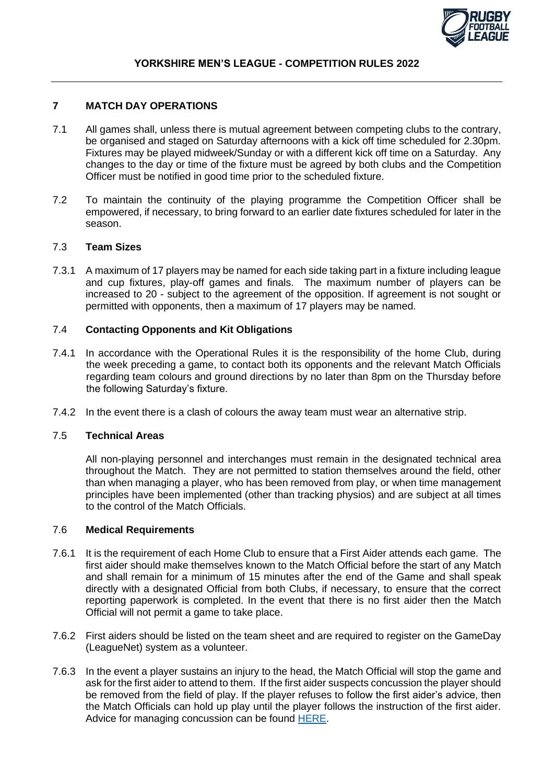

### **7 MATCH DAY OPERATIONS**

- 7.1 All games shall, unless there is mutual agreement between competing clubs to the contrary, be organised and staged on Saturday afternoons with a kick off time scheduled for 2.30pm. Fixtures may be played midweek/Sunday or with a different kick off time on a Saturday. Any changes to the day or time of the fixture must be agreed by both clubs and the Competition Officer must be notified in good time prior to the scheduled fixture.
- 7.2 To maintain the continuity of the playing programme the Competition Officer shall be empowered, if necessary, to bring forward to an earlier date fixtures scheduled for later in the season.

### 7.3 **Team Sizes**

7.3.1 A maximum of 17 players may be named for each side taking part in a fixture including league and cup fixtures, play-off games and finals. The maximum number of players can be increased to 20 - subject to the agreement of the opposition. If agreement is not sought or permitted with opponents, then a maximum of 17 players may be named.

### 7.4 **Contacting Opponents and Kit Obligations**

- 7.4.1 In accordance with the Operational Rules it is the responsibility of the home Club, during the week preceding a game, to contact both its opponents and the relevant Match Officials regarding team colours and ground directions by no later than 8pm on the Thursday before the following Saturday's fixture.
- 7.4.2 In the event there is a clash of colours the away team must wear an alternative strip.

#### 7.5 **Technical Areas**

All non-playing personnel and interchanges must remain in the designated technical area throughout the Match. They are not permitted to station themselves around the field, other than when managing a player, who has been removed from play, or when time management principles have been implemented (other than tracking physios) and are subject at all times to the control of the Match Officials.

#### 7.6 **Medical Requirements**

- 7.6.1 It is the requirement of each Home Club to ensure that a First Aider attends each game. The first aider should make themselves known to the Match Official before the start of any Match and shall remain for a minimum of 15 minutes after the end of the Game and shall speak directly with a designated Official from both Clubs, if necessary, to ensure that the correct reporting paperwork is completed. In the event that there is no first aider then the Match Official will not permit a game to take place.
- 7.6.2 First aiders should be listed on the team sheet and are required to register on the GameDay (LeagueNet) system as a volunteer.
- 7.6.3 In the event a player sustains an injury to the head, the Match Official will stop the game and ask for the first aider to attend to them. If the first aider suspects concussion the player should be removed from the field of play. If the player refuses to follow the first aider's advice, then the Match Officials can hold up play until the player follows the instruction of the first aider. Advice for managing concussion can be found [HERE.](https://www.rugby-league.com/governance/medical/concussion)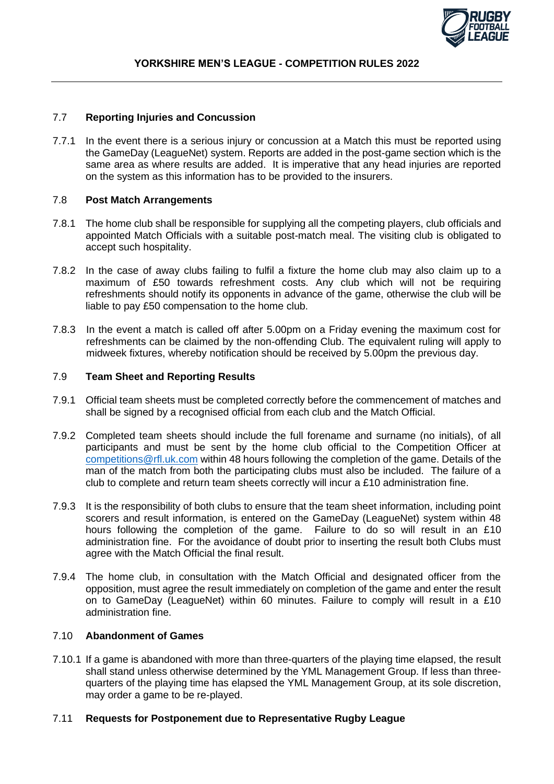

## 7.7 **Reporting Injuries and Concussion**

7.7.1 In the event there is a serious injury or concussion at a Match this must be reported using the GameDay (LeagueNet) system. Reports are added in the post-game section which is the same area as where results are added. It is imperative that any head injuries are reported on the system as this information has to be provided to the insurers.

## 7.8 **Post Match Arrangements**

- 7.8.1 The home club shall be responsible for supplying all the competing players, club officials and appointed Match Officials with a suitable post-match meal. The visiting club is obligated to accept such hospitality.
- 7.8.2 In the case of away clubs failing to fulfil a fixture the home club may also claim up to a maximum of £50 towards refreshment costs. Any club which will not be requiring refreshments should notify its opponents in advance of the game, otherwise the club will be liable to pay £50 compensation to the home club.
- 7.8.3 In the event a match is called off after 5.00pm on a Friday evening the maximum cost for refreshments can be claimed by the non-offending Club. The equivalent ruling will apply to midweek fixtures, whereby notification should be received by 5.00pm the previous day.

## 7.9 **Team Sheet and Reporting Results**

- 7.9.1 Official team sheets must be completed correctly before the commencement of matches and shall be signed by a recognised official from each club and the Match Official.
- 7.9.2 Completed team sheets should include the full forename and surname (no initials), of all participants and must be sent by the home club official to the Competition Officer at [competitions@rfl.uk.com](mailto:competitions@rfl.uk.com) within 48 hours following the completion of the game. Details of the man of the match from both the participating clubs must also be included. The failure of a club to complete and return team sheets correctly will incur a £10 administration fine.
- 7.9.3 It is the responsibility of both clubs to ensure that the team sheet information, including point scorers and result information, is entered on the GameDay (LeagueNet) system within 48 hours following the completion of the game. Failure to do so will result in an £10 administration fine. For the avoidance of doubt prior to inserting the result both Clubs must agree with the Match Official the final result.
- 7.9.4 The home club, in consultation with the Match Official and designated officer from the opposition, must agree the result immediately on completion of the game and enter the result on to GameDay (LeagueNet) within 60 minutes. Failure to comply will result in a £10 administration fine.

## 7.10 **Abandonment of Games**

7.10.1 If a game is abandoned with more than three-quarters of the playing time elapsed, the result shall stand unless otherwise determined by the YML Management Group. If less than threequarters of the playing time has elapsed the YML Management Group, at its sole discretion, may order a game to be re-played.

#### 7.11 **Requests for Postponement due to Representative Rugby League**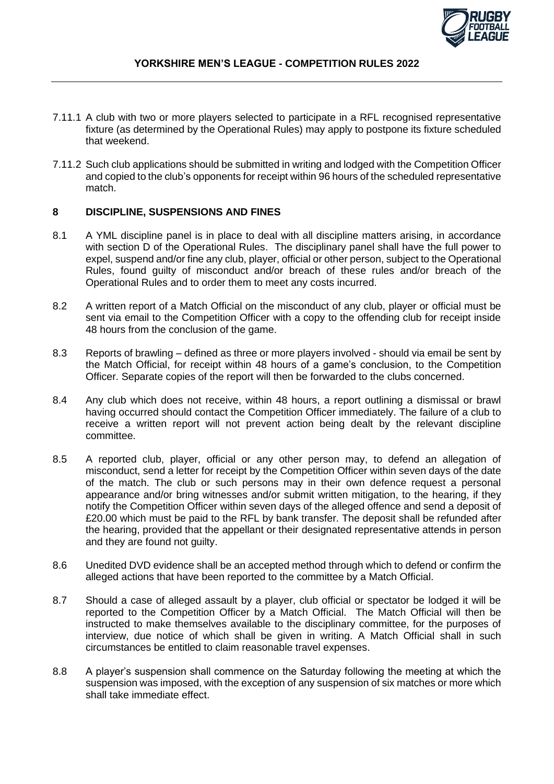

- 7.11.1 A club with two or more players selected to participate in a RFL recognised representative fixture (as determined by the Operational Rules) may apply to postpone its fixture scheduled that weekend.
- 7.11.2 Such club applications should be submitted in writing and lodged with the Competition Officer and copied to the club's opponents for receipt within 96 hours of the scheduled representative match.

# **8 DISCIPLINE, SUSPENSIONS AND FINES**

- 8.1 A YML discipline panel is in place to deal with all discipline matters arising, in accordance with section D of the Operational Rules. The disciplinary panel shall have the full power to expel, suspend and/or fine any club, player, official or other person, subject to the Operational Rules, found guilty of misconduct and/or breach of these rules and/or breach of the Operational Rules and to order them to meet any costs incurred.
- 8.2 A written report of a Match Official on the misconduct of any club, player or official must be sent via email to the Competition Officer with a copy to the offending club for receipt inside 48 hours from the conclusion of the game.
- 8.3 Reports of brawling defined as three or more players involved should via email be sent by the Match Official, for receipt within 48 hours of a game's conclusion, to the Competition Officer. Separate copies of the report will then be forwarded to the clubs concerned.
- 8.4 Any club which does not receive, within 48 hours, a report outlining a dismissal or brawl having occurred should contact the Competition Officer immediately. The failure of a club to receive a written report will not prevent action being dealt by the relevant discipline committee.
- 8.5 A reported club, player, official or any other person may, to defend an allegation of misconduct, send a letter for receipt by the Competition Officer within seven days of the date of the match. The club or such persons may in their own defence request a personal appearance and/or bring witnesses and/or submit written mitigation, to the hearing, if they notify the Competition Officer within seven days of the alleged offence and send a deposit of £20.00 which must be paid to the RFL by bank transfer. The deposit shall be refunded after the hearing, provided that the appellant or their designated representative attends in person and they are found not guilty.
- 8.6 Unedited DVD evidence shall be an accepted method through which to defend or confirm the alleged actions that have been reported to the committee by a Match Official.
- 8.7 Should a case of alleged assault by a player, club official or spectator be lodged it will be reported to the Competition Officer by a Match Official. The Match Official will then be instructed to make themselves available to the disciplinary committee, for the purposes of interview, due notice of which shall be given in writing. A Match Official shall in such circumstances be entitled to claim reasonable travel expenses.
- 8.8 A player's suspension shall commence on the Saturday following the meeting at which the suspension was imposed, with the exception of any suspension of six matches or more which shall take immediate effect.